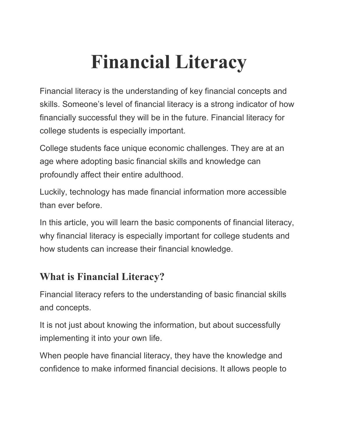# **Financial Literacy**

Financial literacy is the understanding of key financial concepts and skills. Someone's level of financial literacy is a strong indicator of how financially successful they will be in the future. Financial literacy for college students is especially important.

College students face unique economic challenges. They are at an age where adopting basic financial skills and knowledge can profoundly affect their entire adulthood.

Luckily, technology has made financial information more accessible than ever before.

In this article, you will learn the basic components of financial literacy, why financial literacy is especially important for college students and how students can increase their financial knowledge.

# **What is Financial Literacy?**

Financial literacy refers to the understanding of basic financial skills and concepts.

It is not just about knowing the information, but about successfully implementing it into your own life.

When people have financial literacy, they have the knowledge and confidence to make informed financial decisions. It allows people to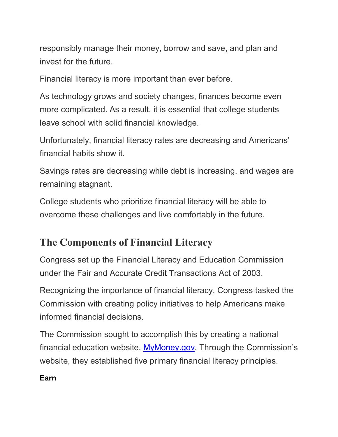responsibly manage their money, borrow and save, and plan and invest for the future.

Financial literacy is more important than ever before.

As technology grows and society changes, finances become even more complicated. As a result, it is essential that college students leave school with solid financial knowledge.

Unfortunately, financial literacy rates are decreasing and Americans' financial habits show it.

Savings rates are decreasing while debt is increasing, and wages are remaining stagnant.

College students who prioritize financial literacy will be able to overcome these challenges and live comfortably in the future.

# **The Components of Financial Literacy**

Congress set up the Financial Literacy and Education Commission under the Fair and Accurate Credit Transactions Act of 2003.

Recognizing the importance of financial literacy, Congress tasked the Commission with creating policy initiatives to help Americans make informed financial decisions.

The Commission sought to accomplish this by creating a national financial education website, [MyMoney.gov.](https://www.mymoney.gov/Pages/default.aspx) Through the Commission's website, they established five primary financial literacy principles.

**Earn**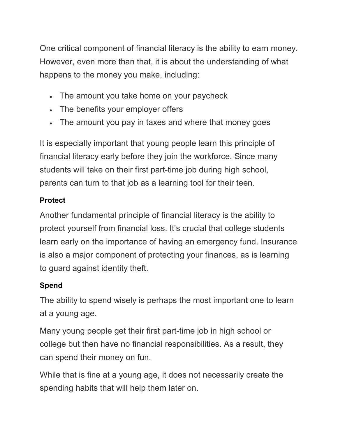One critical component of financial literacy is the ability to earn money. However, even more than that, it is about the understanding of what happens to the money you make, including:

- The amount you take home on your paycheck
- The benefits your employer offers
- The amount you pay in taxes and where that money goes

It is especially important that young people learn this principle of financial literacy early before they join the workforce. Since many students will take on their first part-time job during high school, parents can turn to that job as a learning tool for their teen.

## **Protect**

Another fundamental principle of financial literacy is the ability to protect yourself from financial loss. It's crucial that college students learn early on the importance of having an emergency fund. Insurance is also a major component of protecting your finances, as is learning to guard against identity theft.

## **Spend**

The ability to spend wisely is perhaps the most important one to learn at a young age.

Many young people get their first part-time job in high school or college but then have no financial responsibilities. As a result, they can spend their money on fun.

While that is fine at a young age, it does not necessarily create the spending habits that will help them later on.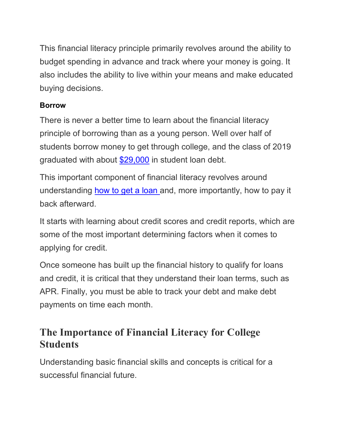This financial literacy principle primarily revolves around the ability to budget spending in advance and track where your money is going. It also includes the ability to live within your means and make educated buying decisions.

## **Borrow**

There is never a better time to learn about the financial literacy principle of borrowing than as a young person. Well over half of students borrow money to get through college, and the class of 2019 graduated with about [\\$29,000](https://www.savingforcollege.com/article/student-loan-statistics) in student loan debt.

This important component of financial literacy revolves around understanding [how to get a loan](https://www.savingforcollege.com/best-private-student-loans-for-college) and, more importantly, how to pay it back afterward.

It starts with learning about credit scores and credit reports, which are some of the most important determining factors when it comes to applying for credit.

Once someone has built up the financial history to qualify for loans and credit, it is critical that they understand their loan terms, such as APR. Finally, you must be able to track your debt and make debt payments on time each month.

# **The Importance of Financial Literacy for College Students**

Understanding basic financial skills and concepts is critical for a successful financial future.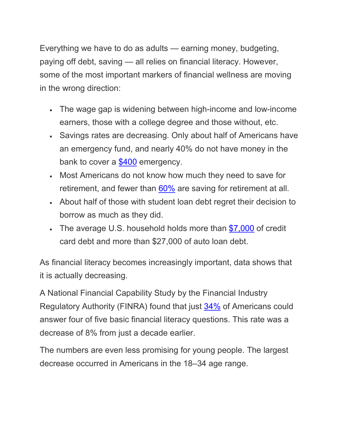Everything we have to do as adults — earning money, budgeting, paying off debt, saving — all relies on financial literacy. However, some of the most important markers of financial wellness are moving in the wrong direction:

- The wage gap is widening between high-income and low-income earners, those with a college degree and those without, etc.
- Savings rates are decreasing. Only about half of Americans have an emergency fund, and nearly 40% do not have money in the bank to cover a [\\$400](https://www.federalreserve.gov/publications/2019-economic-well-being-of-us-households-in-2018-dealing-with-unexpected-expenses.htm) emergency.
- Most Americans do not know how much they need to save for retirement, and fewer than [60%](https://www.finra.org/investors/insights/finra-foundation-national-study-financial-prosperity-eludes-many-americans-despite-economy) are saving for retirement at all.
- About half of those with student loan debt regret their decision to borrow as much as they did.
- The average U.S. household holds more than [\\$7,000](https://www.nerdwallet.com/blog/average-credit-card-debt-household/) of credit card debt and more than \$27,000 of auto loan debt.

As financial literacy becomes increasingly important, data shows that it is actually decreasing.

A National Financial Capability Study by the Financial Industry Regulatory Authority (FINRA) found that just [34%](https://www.finra.org/investors/insights/finra-foundation-national-study-financial-prosperity-eludes-many-americans-despite-economy) of Americans could answer four of five basic financial literacy questions. This rate was a decrease of 8% from just a decade earlier.

The numbers are even less promising for young people. The largest decrease occurred in Americans in the 18–34 age range.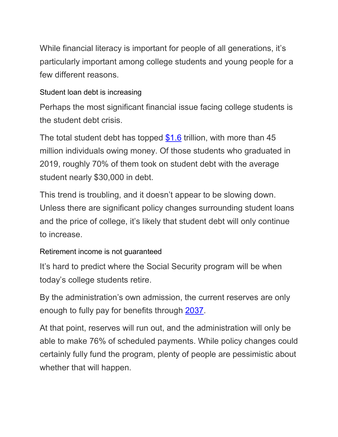While financial literacy is important for people of all generations, it's particularly important among college students and young people for a few different reasons.

#### Student loan debt is increasing

Perhaps the most significant financial issue facing college students is the student debt crisis.

The total student debt has topped [\\$1.6](https://www.savingforcollege.com/article/student-loan-statistics) trillion, with more than 45 million individuals owing money. Of those students who graduated in 2019, roughly 70% of them took on student debt with the average student nearly \$30,000 in debt.

This trend is troubling, and it doesn't appear to be slowing down. Unless there are significant policy changes surrounding student loans and the price of college, it's likely that student debt will only continue to increase.

## Retirement income is not guaranteed

It's hard to predict where the Social Security program will be when today's college students retire.

By the administration's own admission, the current reserves are only enough to fully pay for benefits through [2037.](https://www.ssa.gov/policy/docs/ssb/v70n3/v70n3p111.html)

At that point, reserves will run out, and the administration will only be able to make 76% of scheduled payments. While policy changes could certainly fully fund the program, plenty of people are pessimistic about whether that will happen.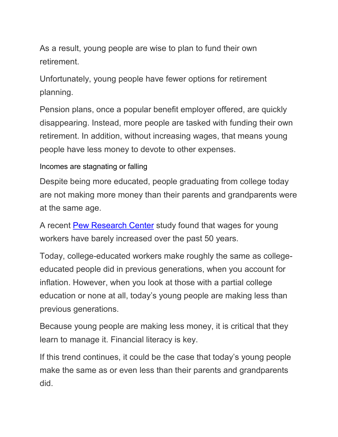As a result, young people are wise to plan to fund their own retirement.

Unfortunately, young people have fewer options for retirement planning.

Pension plans, once a popular benefit employer offered, are quickly disappearing. Instead, more people are tasked with funding their own retirement. In addition, without increasing wages, that means young people have less money to devote to other expenses.

#### Incomes are stagnating or falling

Despite being more educated, people graduating from college today are not making more money than their parents and grandparents were at the same age.

A recent [Pew Research Center](https://www.pewsocialtrends.org/essay/millennial-life-how-young-adulthood-today-compares-with-prior-generations/) study found that wages for young workers have barely increased over the past 50 years.

Today, college-educated workers make roughly the same as collegeeducated people did in previous generations, when you account for inflation. However, when you look at those with a partial college education or none at all, today's young people are making less than previous generations.

Because young people are making less money, it is critical that they learn to manage it. Financial literacy is key.

If this trend continues, it could be the case that today's young people make the same as or even less than their parents and grandparents did.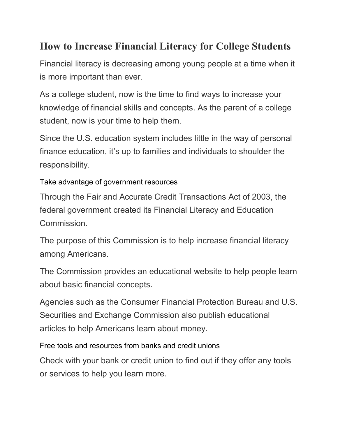# **How to Increase Financial Literacy for College Students**

Financial literacy is decreasing among young people at a time when it is more important than ever.

As a college student, now is the time to find ways to increase your knowledge of financial skills and concepts. As the parent of a college student, now is your time to help them.

Since the U.S. education system includes little in the way of personal finance education, it's up to families and individuals to shoulder the responsibility.

## Take advantage of government resources

Through the Fair and Accurate Credit Transactions Act of 2003, the federal government created its Financial Literacy and Education Commission.

The purpose of this Commission is to help increase financial literacy among Americans.

The Commission provides an educational website to help people learn about basic financial concepts.

Agencies such as the Consumer Financial Protection Bureau and U.S. Securities and Exchange Commission also publish educational articles to help Americans learn about money.

Free tools and resources from banks and credit unions

Check with your bank or credit union to find out if they offer any tools or services to help you learn more.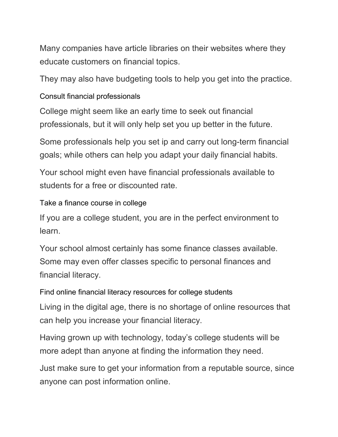Many companies have article libraries on their websites where they educate customers on financial topics.

They may also have budgeting tools to help you get into the practice.

### Consult financial professionals

College might seem like an early time to seek out financial professionals, but it will only help set you up better in the future.

Some professionals help you set ip and carry out long-term financial goals; while others can help you adapt your daily financial habits.

Your school might even have financial professionals available to students for a free or discounted rate.

Take a finance course in college

If you are a college student, you are in the perfect environment to learn.

Your school almost certainly has some finance classes available. Some may even offer classes specific to personal finances and financial literacy.

Find online financial literacy resources for college students

Living in the digital age, there is no shortage of online resources that can help you increase your financial literacy.

Having grown up with technology, today's college students will be more adept than anyone at finding the information they need.

Just make sure to get your information from a reputable source, since anyone can post information online.